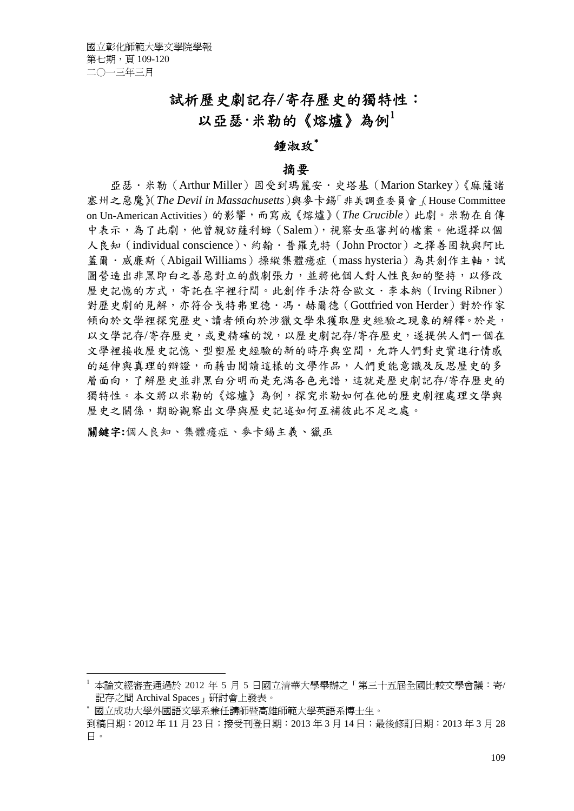# 試析歷史劇記存/寄存歷史的獨特性: 以亞瑟·米勒的《熔爐》為例

### 鍾淑玫<sup>∗</sup>

#### 摘要

亞瑟·米勒 (Arthur Miller) 因受到瑪麗安·史塔基 (Marion Starkey)《麻薩諸 塞州之惡魔》(*The Devil in Massachusetts*)與麥卡錫「非美調查委員會」(House Committee on Un-American Activities)的影響,而寫成《熔爐》(*The Crucible*)此劇。米勒在自傳 中表示,為了此劇,他曾親訪薩利姆(Salem),視察女巫審判的檔案。他選擇以個 人良知(individual conscience)、約翰.普羅克特(John Proctor)之擇善固執與阿比 蓋爾·威廉斯 (Abigail Williams) 操縱集體癔症 (mass hysteria) 為其創作主軸, 試 圖營造出非黑即白之善惡對立的戲劇張力,並將他個人對人性良知的堅持,以修改 歷史記憶的方式,寄託在字裡行間。此創作手法符合歐文.李本納(Irving Ribner) 對歷史劇的見解,亦符合戈特弗里德.馮.赫爾德(Gottfried von Herder)對於作家 傾向於文學裡探究歷史、讀者傾向於涉獵文學來獲取歷史經驗之現象的解釋。於是, 以文學記存/寄存歷史,或更精確的說,以歷史劇記存/寄存歷史,遂提供人們一個在 文學裡接收歷史記憶、型塑歷史經驗的新的時序與空間,允許人們對史實進行情感 的延伸與真理的辯證,而藉由閱讀這樣的文學作品,人們更能意識及反思歷史的多 層面向,了解歷史並非黑白分明而是充滿各色光譜,這就是歷史劇記存/寄存歷史的 獨特性。本文將以米勒的《熔爐》為例,探究米勒如何在他的歷史劇裡處理文學與 歷史之關係,期盼觀察出文學與歷史記述如何互補彼此不足之處。

關鍵字**:**個人良知、集體癔症、麥卡錫主義、獵巫

<sup>1</sup> 本論文經審查通過於 2012 年 5 月 5 日國立清華大學舉辦之「第三十五屆全國比較文學會議:寄/ 記存之間 Archival Spaces」研討會上發表。

<sup>∗</sup> 國立成功大學外國語文學系兼任講師暨高雄師範大學英語系博士生。

到稿日期:2012 年 11 月 23 日;接受刊登日期:2013 年 3 月 14 日;最後修訂日期:2013 年 3 月 28 日。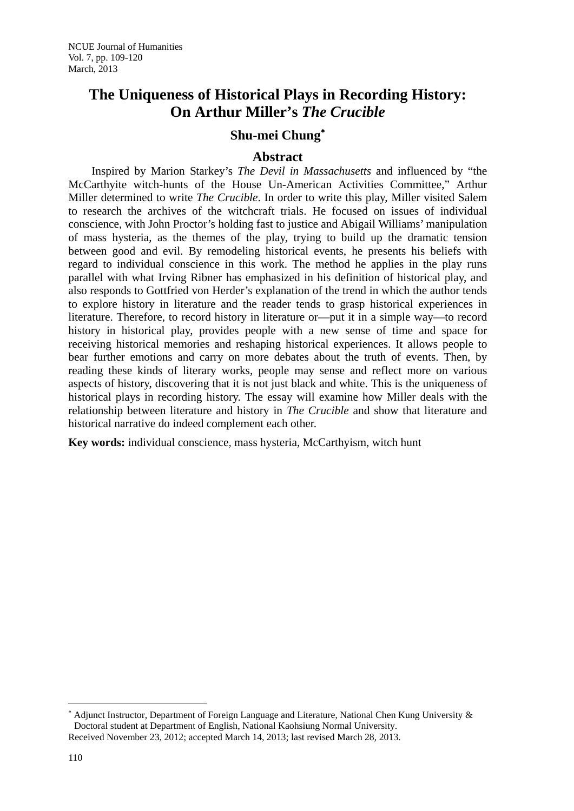## **The Uniqueness of Historical Plays in Recording History: On Arthur Miller's** *The Crucible*

### **Shu-mei Chung**<sup>∗</sup>

### **Abstract**

Inspired by Marion Starkey's *The Devil in Massachusetts* and influenced by "the McCarthyite witch-hunts of the House Un-American Activities Committee," Arthur Miller determined to write *The Crucible*. In order to write this play, Miller visited Salem to research the archives of the witchcraft trials. He focused on issues of individual conscience, with John Proctor's holding fast to justice and Abigail Williams' manipulation of mass hysteria, as the themes of the play, trying to build up the dramatic tension between good and evil. By remodeling historical events, he presents his beliefs with regard to individual conscience in this work. The method he applies in the play runs parallel with what Irving Ribner has emphasized in his definition of historical play, and also responds to Gottfried von Herder's explanation of the trend in which the author tends to explore history in literature and the reader tends to grasp historical experiences in literature. Therefore, to record history in literature or—put it in a simple way—to record history in historical play, provides people with a new sense of time and space for receiving historical memories and reshaping historical experiences. It allows people to bear further emotions and carry on more debates about the truth of events. Then, by reading these kinds of literary works, people may sense and reflect more on various aspects of history, discovering that it is not just black and white. This is the uniqueness of historical plays in recording history. The essay will examine how Miller deals with the relationship between literature and history in *The Crucible* and show that literature and historical narrative do indeed complement each other.

**Key words:** individual conscience, mass hysteria, McCarthyism, witch hunt

1

<sup>∗</sup> Adjunct Instructor, Department of Foreign Language and Literature, National Chen Kung University & Doctoral student at Department of English, National Kaohsiung Normal University. Received November 23, 2012; accepted March 14, 2013; last revised March 28, 2013.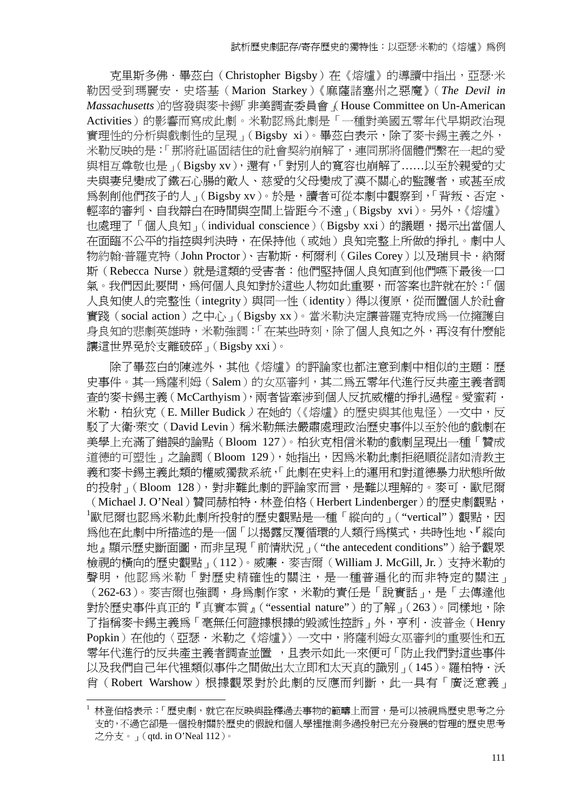京里斯多佛·畢茲白(Christopher Bigsby)在《熔爐》的導讀中指出,亞瑟·米 勒因受到瑪麗安.史塔基(Marion Starkey)《麻薩諸塞州之惡魔》(*The Devil in Massachusetts*)的啟發與麥卡錫「非美調查委員會」(House Committee on Un-American Activities)的影響而寫成此劇。米勒認為此劇是「一種對美國五零年代早期政治現 實理性的分析與戲劇性的呈現」(Bigsby xi)。畢茲白表示,除了麥卡錫主義之外, 米勒反映的是:「那將社區固結住的社會契約崩解了,連同那將個體們繫在一起的愛 與相互尊敬也是」(Bigsby xv),還有,「對別人的寬容也崩解了……以至於親愛的丈 夫與妻兒變成了鐵石心腸的敵人、慈愛的父母變成了漢不關心的監護者,或甚至成 為剝削他們孩子的人」(Bigsby xv)。於是,讀者可從本劇中觀察到,「背叛、否定、 輕率的審判、自我辯白在時間與空間上皆距今不遠」(Bigsby xvi)。另外,《熔爐》 也處理了「個人良知」(individual conscience)(Bigsby xxi)的議題,揭示出當個人 在面臨不公平的指控與判決時,在保持他(或她)良知完整上所做的掙扎。劇中人 物約翰·普羅克特 (John Proctor)、吉勒斯 · 柯爾利 (Giles Corey) 以及瑞貝卡 · 納爾 斯(Rebecca Nurse)就是這類的受害者:他們堅持個人良知直到他們嚥下最後一口 氣。我們因此要問,為何個人良知對於這些人物如此重要,而答案也許就在於:「個 人良知使人的完整性(integrity)與同一性(identity)得以復原,從而置個人於社會 實踐(social action)之中心」(Bigsby xx)。當米勒決定讓普羅克特成為一位擁護自 身良知的悲劇英雄時,米勒強調:「在某些時刻,除了個人良知之外,再沒有什麼能 讓這世界免於支離破碎」(Bigsby xxi)。

除了畢茲白的陳述外,其他《熔爐》的評論家也都注意到劇中相似的主題:歷 史事件。其一為薩利姆(Salem)的女巫審判,其二為五零年代進行反共產主義者調 查的麥卡錫主義(McCarthyism),兩者皆牽涉到個人反抗威權的掙扎過程。愛蜜莉. 米勒·柏狄克(E. Miller Budick)在她的〈《熔爐》的歷史與其他鬼怪〉一文中,反 駁了大衛*·*萊文(David Levin)稱米勒無法嚴肅處理政治歷史事件以至於他的戲劇在 美學上充滿了錯誤的論點(Bloom 127)。柏狄克相信米勒的戲劇呈現出一種「贊成 道德的可塑性」之論調 (Bloom 129), 她指出, 因為米勒此劇拒絕順從諸如清教主 義和麥卡錫主義此類的權威獨裁系統,「此劇在史料上的運用和對道德暴力狀態所做 的投射」(Bloom 128),對非難此劇的評論家而言,是難以理解的。麥可·歐尼爾 (Michael J. O'Neal)贊同赫柏特.林登伯格(Herbert Lindenberger)的歷史劇觀點,  $^{\rm 1}$ 歐尼爾也認爲米勒此劇所投射的歷史觀點是一種「縱向的」("vertical") 觀點,因 為他在此劇中所描述的是一個「以揭露反覆循環的人類行為模式,共時性地、『縱向 地』顯示歷史斷面圖,而非呈現「前情狀況」("the antecedent conditions")給予觀眾 檢視的橫向的歷史觀點」(112)。威廉.麥吉爾(William J. McGill, Jr.)支持米勒的 聲明,他認為米勒「對歷史精確性的關注,是一種普遍化的而非特定的關注」 (262-63)。麥吉爾也強調,身為劇作家,米勒的責任是「說實話」,是「去傳達他 對於歷史事件真正的『真實本質』("essential nature")的了解」(263)。同樣地,除 了指稱麥卡錫主義為「毫無任何證據根據的毀滅性控訴」外,亨利·波普金(Henry Popkin)在他的〈亞瑟·米勒之《熔爐》〉一文中,將薩利姆女巫審判的重要性和五 零年代進行的反共產主義者調查並置 ,且表示如此一來便可「防止我們對這些事件 以及我們自己年代裡類似事件之間做出太立即和太天真的識別」(145)。羅柏特・沃 肖(Robert Warshow)根據觀眾對於此劇的反應而判斷,此一具有「廣泛意義」

林登伯格表示:「歷史劇,就它在反映與詮釋過去事物的範疇上而言,是可以被視為歷史思考之分 支的,不過它卻是一個投射關於歷史的假說和個人學裡推測多過投射已充分發展的哲理的歷史思考 之分支。」(qtd. in O'Neal 112)。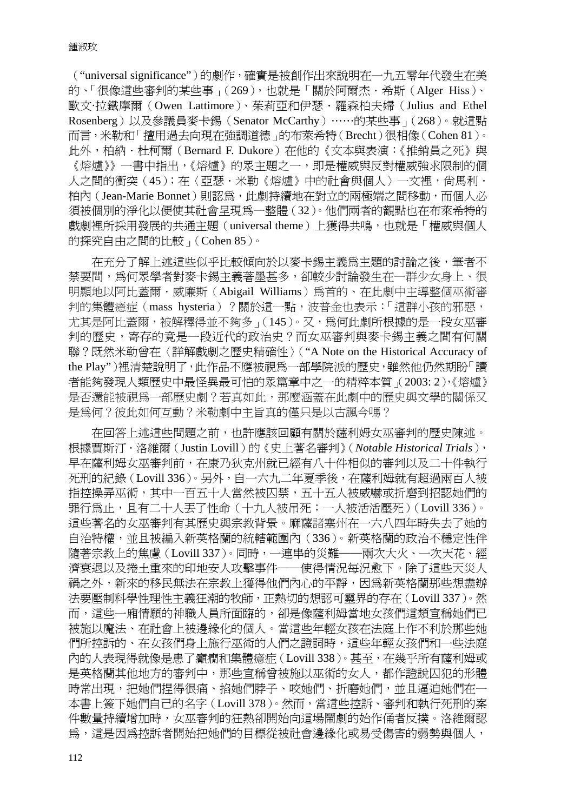("universal significance")的劇作,確實是被創作出來說明在一九五零年代發生在美 的、「很像這些審判的某些事」(269),也就是「關於阿爾杰·希斯(Alger Hiss)、 歐文·拉鐵摩爾(Owen Lattimore)、茱莉亞和伊瑟.羅森柏夫婦(Julius and Ethel Rosenberg)以及參議員麥卡錫(Senator McCarthy)……的某些事」(268)。就這點 而言,米勒和「擅用過去向現在強調道德」的布萊希特(Brecht)很相像(Cohen 81)。 此外,柏納.杜柯爾(Bernard F. Dukore)在他的《文本與表演:《推銷員之死》與 《熔爐》》一書中指出,《熔爐》的眾主題之一,即是權威與反對權威強求限制的個 人之間的衝突(45);在〈亞瑟·米勒《熔爐》中的社會與個人〉一文裡,尚馬利· 柏內(Jean-Marie Bonnet)則認為,此劇持續地在對立的兩極端之間移動,而個人必 須被個別的淨化以便使其社會呈現為一整體(32)。他們兩者的觀點也在布萊希特的 戲劇裡所採用發展的共通主題 (universal theme) 上獲得共鳴, 也就是「權威與個人 的探究自由之間的比較」(Cohen 85)。

在充分了解上述這些似乎比較傾向於以麥卡錫主義為主題的討論之後,筆者不 禁要問,為何眾學者對麥卡錫主義著墨甚多,卻較少討論發生在一群少女身上、很 明顯地以阿比蓋爾·威廉斯 (Abigail Williams) 為首的、在此劇中主導整個巫術審 判的集體癔症(mass hysteria)?關於這一點,波普金也表示:「這群小孩的邪惡, 尤其是阿比蓋爾,被解釋得並不夠多」(145)。又,為何此劇所根據的是一段女巫審 判的歷史,寄存的竟是一段近代的政治史?而女巫審判與麥卡錫主義之間有何關 聯?既然米勒曾在〈詳解戲劇之歷史精確性〉("A Note on the Historical Accuracy of the Play")裡清楚說明了,此作品不應被視為一部學院派的歷史,雖然他仍然期盼「讀 者能夠發現人類歷史中最怪異最可怕的眾篇章中之一的精粹本質」(2003: 2),《熔爐》 是否還能被視為一部歷史劇?若真如此,那麼涵蓋在此劇中的歷史與文學的關係又 是為何?彼此如何互動?米勒劇中主旨真的僅只是以古諷今嗎?

在回答上述這些問題之前,也許應該回顧有關於薩利姆女巫審判的歷史陳述。 根據賈斯汀.洛維爾(Justin Lovill)的《史上著名審判》(*Notable Historical Trials*), 早在薩利姆女巫審判前,在康乃狄克州就已經有八十件相似的審判以及二十件執行 死刑的紀錄(Lovill 336)。另外,自一六九二年夏季後,在薩利姆就有超過兩百人被 指控操弄巫術,其中一百五十人當然被囚禁,五十五人被威嚇或折磨到招認她們的 罪行為止,且有二十人丟了性命(十九人被吊死;一人被活活壓死)(Lovill 336)。 這些著名的女巫審判有其歷史與宗教背景。麻薩諸塞州在一六八四年時失去了她的 自治特權,並且被編入新英格蘭的統轄範圍內(336)。新英格蘭的政治不穩定性伴 隨著宗教上的焦慮(Lovill 337)。同時,一連串的災難──兩次大火、一次天花、經 濟衰退以及捲土重來的印地安人攻擊事件──使得情況每況愈下。除了這些天災人 禍之外,新來的移民無法在宗教上獲得他們內心的平靜,因為新英格蘭那些想盡辦 法要壓制科學性理性主義狂潮的牧師,正熱切的想認可靈界的存在(Lovill 337)。然 而,這些一廂情願的神職人員所面臨的,卻是像薩利姆當地女孩們這類宣稱她們已 被施以魔法、在社會上被邊緣化的個人。當這些年輕女孩在法庭上作不利於那些她 們所控訴的、在女孩們身上施行巫術的人們之證詞時,這些年輕女孩們和一些法庭 內的人表現得就像是患了癲癇和集體癔症(Lovill 338)。甚至,在幾乎所有薩利姆或 是英格蘭其他地方的審判中,那些宣稱曾被施以巫術的女人,都作證說囚犯的形體 時常出現,把她們捏得很痛、掐她們脖子、咬她們、折磨她們,並且逼迫她們在一 本書上簽下她們自己的名字(Lovill 378)。然而,當這些控訴、審判和執行死刑的案 件數量持續增加時,女巫審判的狂熱卻開始向這場鬧劇的始作俑者反撲。洛維爾認 為,這是因為控訴者開始把她們的目標從被社會邊緣化或易受傷害的弱勢與個人,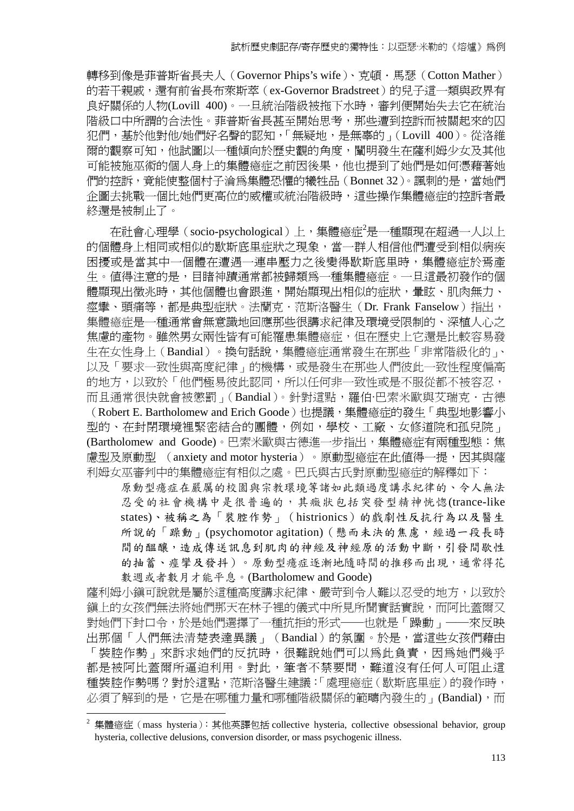轉移到像是菲普斯省長夫人 (Governor Phips's wife)、克頓·馬瑟 (Cotton Mather) 的若干親戚,還有前省長布萊斯萃 (ex-Governor Bradstreet) 的兒子這一類與政界有 良好關係的人物(Lovill 400)。一旦統治階級被拖下水時,審判便開始失去它在統治 階級口中所謂的合法性。菲普斯省長甚至開始思考,那些遭到控訴而被關起來的囚 犯們,基於他對他/她們好名聲的認知,「無疑地,是無辜的」(Lovill 400)。從洛維 爾的觀察可知,他試圖以一種傾向於歷史觀的角度,闡明發生在薩利姆少女及其他 可能被施巫術的個人身上的集體癔症之前因後果,他也提到了她們是如何憑藉著她 們的控訴,竟能使整個村子淪為集體恐懼的犧牲品(Bonnet 32)。諷刺的是,當她們 企圖去挑戰一個比她們更高位的威權或統治階級時,這些操作集體瘡症的控訴者最 終還是被制止了。

在社會心理學(socio-psychological)上,集體癔症<sup>2</sup>是一種顯現在超過一人以上 的個體身上相同或相似的歇斯底里症狀之現象,當一群人相信他們遭受到相似病疾 困擾或是當其中一個體在遭遇一連串壓力之後變得歇斯底里時,集體癔症於焉產 生。值得注意的是,目睹神蹟通常都被歸類為一種集體癔症。一旦這最初發作的個 體顯現出徵兆時,其他個體也會跟進,開始顯現出相似的症狀,暈眩、肌肉無力、 痙攣、頭痛等,都是典型症狀。法蘭克.范斯洛醫生(Dr. Frank Fanselow)指出, 集體癔症是一種通常會無意識地回應那些很講求紀律及環境受限制的、深植人心之 焦慮的產物。雖然男女兩性皆有可能罹患集體癔症,但在歷史上它還是比較容易發 生在女性身上(Bandial)。換句話說,集體癔症通常發生在那些「非常階級化的」、 以及「要求一致性與高度紀律」的機構,或是發生在那些人們彼此一致性程度偏高 的地方,以致於「他們極易彼此認同,所以任何非一致性或是不服從都不被容忍, 而且通常很快就會被懲罰」(Bandial)。針對這點,羅伯·巴索米歐與艾瑞克.古德

(Robert E. Bartholomew and Erich Goode)也提議,集體癔症的發生「典型地影響小 型的、在封閉環境裡緊密結合的團體,例如,學校、工廠、女修道院和孤兒院」 (Bartholomew and Goode)。巴索米歐與古德進一步指出,集體療症有兩種型態:焦 盧型及原動型 (anxiety and motor hysteria)。原動型癔症在此值得一提,因其與薩 利姆女巫審判中的集體癔症有相似之處。巴氏與古氏對原動型癔症的解釋如下:

原動型癔症在嚴厲的校園與宗教環境等諸如此類過度講求紀律的、令人無法 忍受的社會機構中是很普遍的,其癥狀包括突發型精神恍惚(trance-like states)、被稱之為「裝腔作勢」(histrionics)的戲劇性反抗行為以及醫生 所說的「躁動」(psychomotor agitation)(懸而未決的焦慮,經過一段長時 間的醞釀,造成傳送訊息到肌肉的神經及神經原的活動中斷,引發間歇性 的抽蓄、痙攣及發抖)。原動型癔症逐漸地隨時間的推移而出現,通常得花 數週或者數月才能平息。(Bartholomew and Goode)

薩利姆小鎭可說就是屬於這種高度講求紀律、嚴苛到令人難以忍受的地方,以致於 鎮上的女孩們無法將她們那天在林子裡的儀式中所見所聞實話實說,而阿比蓋爾又 對她們下封口令,於是她們選擇了一種抗拒的形式──也就是「躁動」──來反映 出那個「人們無法清楚表達異議」(Bandial)的氛圍。於是,當這些女孩們藉由 「裝腔作勢」來訴求她們的反抗時,很難說她們可以為此負責,因為她們幾乎 都是被阿比蓋爾所逼迫利用。對此,筆者不禁要問,難道沒有任何人可阻止這 種裝腔作勢嗎?對於這點,范斯洛醫生建議:「處理癔症(歇斯底里症)的發作時, 必須了解到的是,它是在哪種力量和哪種階級關係的範疇內發生的」(Bandial),而

<sup>&</sup>lt;sup>2</sup> 集體瘡症 (mass hysteria): 其他英譯包括 collective hysteria, collective obsessional behavior, group hysteria, collective delusions, conversion disorder, or mass psychogenic illness.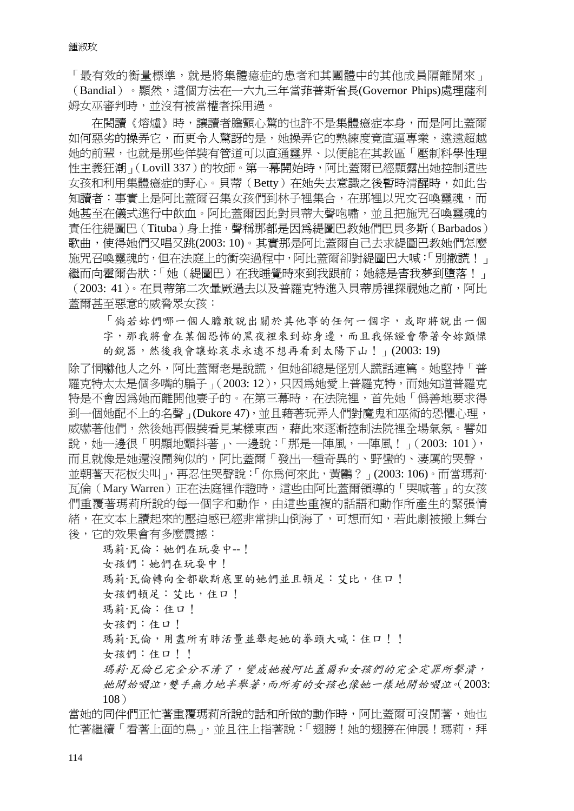「最有效的衡量標準,就是將集體癔症的患者和其團體中的其他成員隔離開來」 (Bandial)。顯然,這個方法在一六九三年當菲普斯省長(Governor Phips)處理薩利 姆女巫審判時,並沒有被當權者採用過。

在閱讀《熔爐》時,讓讀者膽顫心驚的也許不是集體癔症本身,而是阿比蓋爾 如何惡劣的操弄它,而更令人驚訝的是,她操弄它的熟練度竟直逼專業,遠遠超越 她的前輩,也就是那些佯裝有管道可以直通靈界、以便能在其教區「壓制科學性理 性主義狂潮」(Lovill 337)的牧師。第一幕開始時,阿比蓋爾已經顯露出她控制這些 女孩和利用集體癔症的野心。貝蒂(Betty)在她失去意識之後暫時清醒時,如此告 知讀者:事實上是阿比蓋爾召集女孩們到林子裡集合,在那裡以咒文召喚靈魂,而 她甚至在儀式進行中飲血。阿比蓋爾因此對貝蒂大聲咆嘯,並且把施咒召喚靈魂的 責任往緹圖巴(Tituba)身上推,聲稱那都是因為緹圖巴教她們巴貝多斯(Barbados) 歌曲,使得她們又唱又跳(2003: 10)。其實那是阿比蓋爾自己去求緹圖巴教她們怎麼 施咒召喚靈魂的,但在法庭上的衝突過程中,阿比蓋爾卻對緹圖巴大喊:「別撒謊!」 繼而向霍爾告狀:「她(緹圖巴)在我睡覺時來到我跟前;她總是害我夢到墮落!」 (2003: 41 )。在貝蒂第二次暈厥過去以及普羅克特進入貝蒂房裡探視她之前,阿比 蓋爾甚至惡意的威脅眾女孩:

「倘若妳們哪一個人膽敢說出關於其他事的任何一個字,或即將說出一個 字,那我將會在某個恐怖的黑夜裡來到妳身邊,而且我保證會帶著令妳顫慄 的銳器,然後我會讓妳哀求永遠不想再看到太陽下山!」(2003:19)

除了恫嚇他人之外,阿比蓋爾老是說謊,但她卻總是怪別人謊話連篇。她堅持「普 羅克特太太是個多嘴的騙子」(2003:12),只因為她愛上普羅克特,而她知道普羅克 特是不會因為她而離開他妻子的。在第三幕時,在法院裡,首先她「偽善地要求得 到一個她配不上的名聲」(Dukore 47), 並且藉著玩弄人們對魔鬼和巫術的恐懼心理, 威嚇著他們,然後她再假裝看見某樣東西,藉此來逐漸控制法院裡全場氣氛。譬如 說,她一邊很「明顯地顫抖著」、一邊說:「那是一陣風,一陣風!」(2003: 101), 而且就像是她澴沒鬧夠似的,阿比蓋爾「發出一種奇異的、野蠻的、淒厲的哭聲, 並朝著天花板尖叫」,再忍住哭聲說:「你為何來此,黃鸝?」(2003: 106)。而當瑪莉· 瓦倫(Mary Warren)正在法庭裡作證時,這些由阿比蓋爾領導的「哭喊著」的女孩 們重覆著瑪莉所說的每一個字和動作,由這些重複的話語和動作所產生的緊張情 緒,在文本上讀起來的壓迫感已經非常排山倒海了,可想而知,若此劇被搬上舞台 後,它的效果會有多麼震撼:

瑪莉·瓦倫:她們在玩耍中--! 女孩們:她們在玩耍中! 瑪莉·瓦倫轉向全都歇斯底里的她們並且頓足:艾比,住口! 女孩們頓足:艾比,住口! 瑪莉·瓦倫:住口! 女孩們:住口! 瑪莉·瓦倫,用盡所有肺活量並舉起她的拳頭大喊:住口!! 女孩們:住口!! 瑪莉*·*瓦倫已完全分不清了,變成她被阿比蓋爾和女孩們的完全定罪所擊潰, 她開始啜泣,雙手無力地半舉著,而所有的女孩也像她一樣地開始啜泣。(2003:

108)

當她的同伴們正忙著重覆瑪莉所說的話和所做的動作時,阿比蓋爾可沒閒著,她也 忙著繼續「看著上面的鳥」,並且往上指著說:「翅膀!她的翅膀在伸展!瑪莉,拜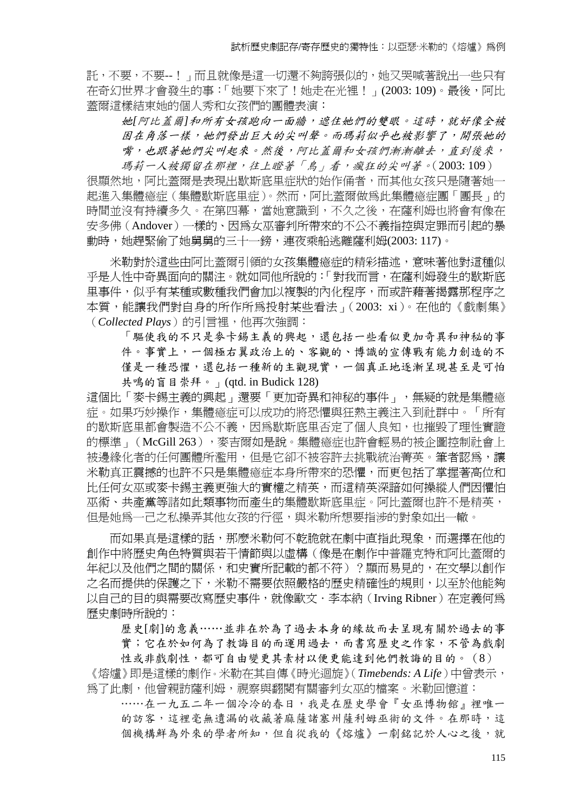託,不要,不要--!」而且就像是這一切還不夠誇張似的,她又哭喊著說出一些只有 在奇幻世界才會發生的事:「她要下來了!她走在光裡!」(2003:109)。最後,阿比 蓋爾這樣結束她的個人秀和女孩們的團體表演:

她*[*阿比蓋爾*]*和所有女孩跑向一面牆,遮住她們的雙眼。這時,就好像全被 困在角落一樣,她們發出巨大的尖叫聲。而瑪莉似乎也被影響了,開張她的 嘴,也跟著她們尖叫起來。然後,阿比蓋爾和女孩們漸漸離去,直到後來,

瑪莉一人被獨留在那裡,往上瞪著「鳥」看,瘋狂的尖叫著。(2003:109) 很顯然地,阿比蓋爾是表現出歇斯底里症狀的始作俑者,而其他女孩只是隨著她一 起進入集體癔症(集體歇斯底里症)。然而,阿比蓋爾做為此集體癔症團「團長」的 時間並沒有持續多久。在第四幕,當她意識到,不久之後,在薩利姆也將會有像在 安多佛(Andover)一樣的、因為女巫審判所帶來的不公不義指控與定罪而引起的暴 動時,她趕緊偷了她舅舅的三十一鎊,連夜乘船逃離薩利姆(2003:117)。

米勒對於這些由阿比蓋爾引領的女孩集體癔症的精彩描述,意味著他對這種似 乎是人性中奇異面向的關注。就如同他所說的:「對我而言,在薩利姆發生的歇斯底 里事件,似乎有某種或數種我們會加以複製的內化程序,而或許藉著揭露那程序之 本質,能讓我們對自身的所作所為投射某些看法」(2003: xi)。在他的《戲劇集》 (Collected Plays)的引言裡,他再次強調:

「驅使我的不只是麥卡錫主義的興起,還包括一些看似更加奇異和神秘的事 件。事實上,一個極右翼政治上的、客觀的、博識的宣傳戰有能力創造的不 僅是一種恐懼,還包括一種新的主觀現實,一個真正地逐漸呈現甚至是可怕 共鳴的盲目崇拜。」(qtd. in Budick 128)

這個比「麥卡錫主義的興起」還要「更加奇異和神秘的事件」,無疑的就是集體癔 症。如果巧妙操作,集體癔症可以成功的將恐懼與狂熱主義注入到社群中。「所有 的歇斯底里都會製造不公不義,因為歇斯底里否定了個人良知,也摧毀了理性實證 的標準」(McGill 263),要吉爾如是說。集體癔症也許會輕易的被企圖控制社會上 被邊緣化者的任何團體所濫用,但是它卻不被容許去挑戰統治菁英。筆者認爲,讓 米勒真正震撼的也許不只是集體癔症本身所帶來的恐懼,而更包括了掌握著高位和 比任何女巫或麥卡錫主義更強大的實權之精英,而這精英深諳如何操縱人們因懼怕 巫術、共產黨等諸如此類事物而產生的集體歇斯底里症。阿比蓋爾也許不是精英, **但是她為一己之私操弄其他女孩的行徑,與米勒所想要指涉的對象如出一轍。** 

而如果真是這樣的話,那麼米勒何不乾脆就在劇中直指此現象,而選擇在他的 創作中將歷史角色特質與若干情節與以虛構(像是在劇作中普羅克特和阿比蓋爾的 年紀以及他們之間的關係,和史實所記載的都不符)?顯而易見的,在文學以創作 之名而提供的保護之下,米勒不需要依照嚴格的歷史精確性的規則,以至於他能夠 以自己的目的與需要改寫歷史事件,就像歐文·李本納 (Irving Ribner) 在定義何爲 歷史劇時所說的:

歷史[劇]的意義……並非在於為了過去本身的緣故而去呈現有關於過去的事

實;它在於如何為了教誨目的而運用過去,而書寫歷史之作家,不管為戲劇

性或非戲劇性,都可自由變更其素材以便更能達到他們教誨的目的。(8)

《熔爐》即是這樣的劇作。米勒在其自傳《時光迴旋》(*Timebends: A Life*)中曾表示, 為了此劇,他曾親訪薩利姆,視察與翻閱有關審判女巫的檔案。米勒回憶道:

……在一九五二年一個冷冷的春日,我是在歷史學會『女巫博物館』裡唯一 的訪客,這裡毫無遺漏的收藏著麻薩諸塞州薩利姆巫術的文件。在那時,這 個機構鮮為外來的學者所知,但自從我的《熔爐》一劇銘記於人心之後,就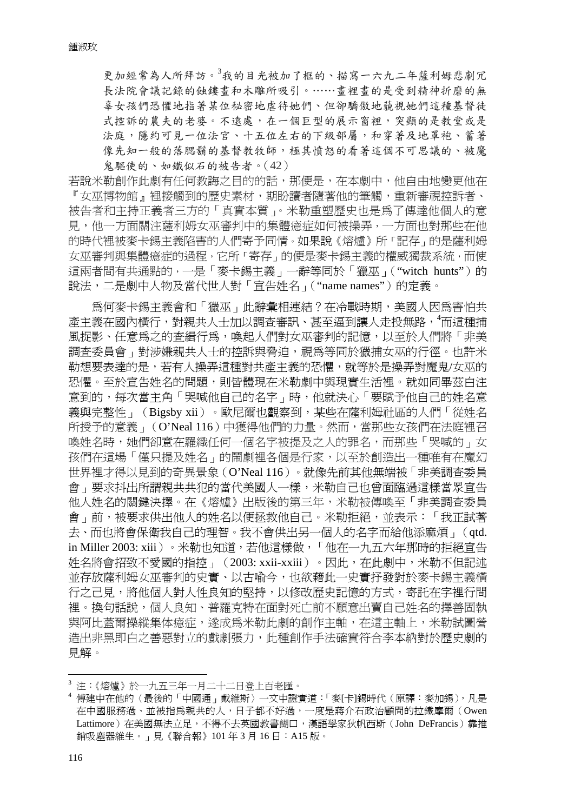更加經常為人所拜訪。<sup>3</sup>我的目光被加了框的、描寫一六九二年薩利姆悲劇冗 長法院會議記錄的蝕鏤畫和木雕所吸引。……畫裡畫的是受到精神折磨的無 辜女孩們恐懼地指著某位秘密地虐待她們、但卻驕傲地藐視她們這種基督徒 式控訴的農夫的老婆。不遠處,在一個巨型的展示窗裡,突顯的是教堂或是 法庭,隱約可見一位法官、十五位左右的下級部屬,和穿著及地罩袍、蓄著 像先知一般的落腮鬍的基督教牧師,極其憤怒的看著這個不可思議的、被魔 鬼驅使的、如鐵似石的被告者。(42)

若說米勒創作此劇有任何教誨之目的的話,那便是,在本劇中,他自由地變更他在 『女巫博物館』裡接觸到的歷史素材,期盼讀者隨著他的筆觸,重新審視控訴者、 被告者和主持正義者三方的「真實本質」。米勒重塑歷史也是為了傳達他個人的意 見,他一方面關注薩利姆女巫審判中的集體癔症如何被操弄,一方面也對那些在他 的時代裡被麥卡錫主義陷害的人們寄予同情。如果說《熔爐》所「記存」的是薩利姆 女巫審判與集體癔症的過程,它所「寄存」的便是麥卡錫主義的權威獨裁系統,而使 這兩者間有共通點的,一是「麥卡錫主義」一辭等同於「獵巫」("witch hunts")的 說法,二是劇中人物及當代世人對「宣告姓名」("name names")的定義。

爲何麥卡錫主義會和「獵巫」此辭彙相連結?在冷戰時期,美國人因為害怕共 產主義在國內橫行,對親共人士加以調查審訊、甚至逼到讓人走投無路,<sup>4</sup>而這種捕 風捉影、任意為之的杳緝行為,喚起人們對女巫審判的記憶,以至於人們將「非美 調查委員會」對涉嫌親共人士的控訴與脅迫,視為等同於獵捕女巫的行徑。也許米 勒想要表達的是,若有人操弄這種對共產主義的恐懼,就等於是操弄對魔鬼/女巫的 恐懼。至於宣告姓名的問題,則皆體現在米勒劇中與現實生活裡。就如同畢茲白注 意到的,每次當主角「哭喊他自己的名字」時,他就決心「要賦予他自己的姓名意 義與完整性」(Bigsby xii)。歐尼爾也觀察到,某些在薩利姆社區的人們「從姓名 所授予的意義」(O'Neal 116)中獲得他們的力量。然而,當那些女孩們在法庭裡召 喚姓名時,她們卻意在羅織任何一個名字被提及之人的罪名,而那些「哭喊的」女 **孩們在這場「僅只提及姓名」的鬧劇裡各個是行家,以至於創造出一種唯有在魔幻** 世界裡才得以見到的奇異景象(O'Neal 116)。就像先前其他無端被「非美調查委員 會」要求抖出所謂親共共犯的當代美國人一樣,米勒自己也曾面臨過這樣當眾宣告 他人姓名的關鍵決擇。在《熔爐》出版後的第三年,米勒被傳喚至「非美調查委員 會」前,被要求供出他人的姓名以便拯救他自己。米勒拒絕,並表示:「我正試著 去、而也將會保衛我自己的理智。我不會供出另一個人的名字而給他添麻煩」(qtd. in Miller 2003: xiii)。米勒也知道,若他這樣做,「他在一九五六年那時的拒絕宣告 姓名將會招致不愛國的指控」(2003: xxii-xxiii)。因此,在此劇中,米勒不但記述 並存放薩利姆女巫審判的史實、以古喻今,也欲藉此一史實抒發對於麥卡錫主義橫 行之己見,將他個人對人性良知的堅持,以修改歷史記憶的方式,寄託在字裡行間 裡。換句話說,個人良知、普羅克特在面對死亡前不願意出賣自己姓名的擇善固執 與阿比蓋爾操縱集体癔症,遂成為米勒此劇的創作主軸,在這主軸上,米勒試圖營 造出非黑即白之善惡對立的戲劇張力,此種創作手法確實符合李本納對於歷史劇的 見解。

<u>.</u>

<sup>3</sup> 注:《熔爐》於一九五三年一月二十二日登上百老匯。

<sup>4</sup> 傅建中在他的〈最後的「中國通」戴維斯〉一文中證實道:「麥[卡]錫時代(原譯:麥加錫),凡是 在中國服務過、並被指為親共的人,日子都不好過,一度是蔣介石政治顧問的拉鐵摩爾(Owen Lattimore)在美國無法立足,不得不去英國教書餬口,漢語學家狄帆西斯(John DeFrancis)靠推 銷吸塵器維生。」見《聯合報》101 年 3 月 16 日:A15 版。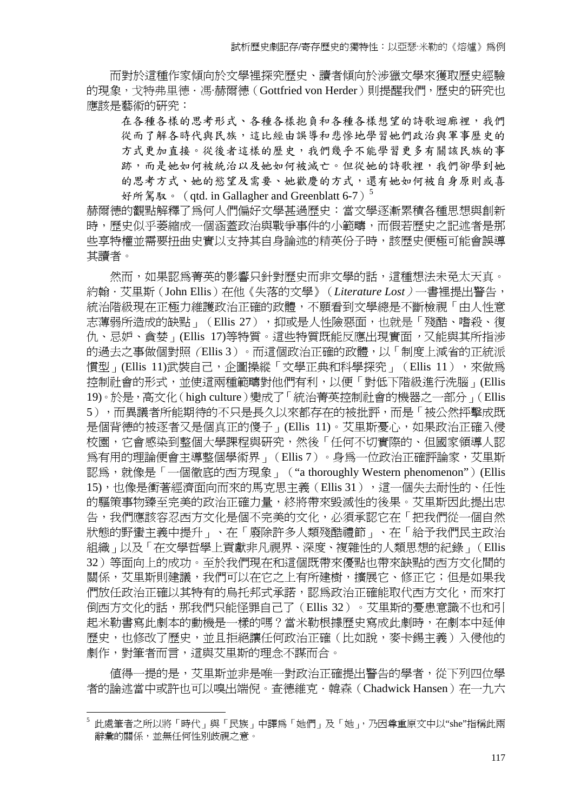而對於這種作家傾向於文學裡探究歷史、讀者傾向於涉獵文學來獲取歷史經驗 的現象,戈特弗里德·馮·赫爾德 (Gottfried von Herder)則提醒我們,歷史的研究也 應該是藝術的研究:

在各種各樣的思考形式、各種各樣抱負和各種各樣想望的詩歌迴廊裡,我們 從而了解各時代與民族,這比經由誤導和悲慘地學習她們政治與軍事歷史的 方式更加直接。從後者這樣的歷史,我們幾乎不能學習更多有關該民族的事 跡,而是她如何被成亡。但從她的詩歌裡,我們卻學到她 的思考方式、她的慾望及需要、她歡慶的方式,還有她如何被自身原則或喜 好所駕馭。 (qtd. in Gallagher and Greenblatt 6-7)<sup>5</sup>

赫爾德的觀點解釋了為何人們偏好文學甚過歷史:當文學逐漸累積各種思想與創新 時,歷史似乎萎縮成一個涵蓋政治與戰爭事件的小範疇,而假若歷史之記述者是那 些享特權並需要扭曲史實以支持其自身論述的精英份子時,該歷史便極可能會誤導 其讀者。

然而,如果認為菁英的影響只針對歷史而非文學的話,這種想法未免太天真。 約翰.艾里斯(John Ellis)在他《失落的文學》(*Literature Lost*)一書裡提出警告, 統治階級現在正極力維護政治正確的政體,不願看到文學總是不斷檢視「由人性意 志薄弱所浩成的缺點」(Ellis 27),抑或是人性險惡面,也就是「殘酷、嗜殺、復 仇、忌妒、貪婪」(Ellis 17)等特質。這些特質既能反應出現實面,又能與其所指涉 的過去之事做個對照(Ellis 3)。而這個政治正確的政體,以「制度上減省的正統派 慣型」(Ellis 11)武裝自己,企圖操縱「文學正典和科學探究」(Ellis 11),來做為 控制社會的形式,並使這兩種範疇對他們有利,以便「對低下階級進行洗腦」(Ellis 19)。於是,高文化(high culture)變成了「統治菁英控制社會的機器之一部分」(Ellis 5),而異議者所能期待的不只是長久以來都存在的被批評,而是「被公然抨擊成既 是個背德的被逐者又是個真正的傻子」(Ellis 11)。艾里斯憂心,如果政治正確入侵 校園,它會感染到整個大學課程與研究,然後「任何不切實際的、但國家領導人認 為有用的理論便會主導整個學術界」(Ellis 7)。身為一位政治正確評論家,艾里斯 認為,就像是「一個徹底的西方現象」("a thoroughly Western phenomenon")(Ellis 15),也像是衝著經濟面向而來的馬克思主義(Ellis 31),這一個失去耐性的、任性 的驅策事物臻至完美的政治正確力量,終將帶來毀滅性的後果。艾里斯因此提出忠 告,我們應該容忍西方文化是個不完美的文化,必須承認它在「把我們從一個自然 狀態的野蠻主義中提升」、在「廢除許多人類殘酷禮節」、在「給予我們民主政治 組織」以及「在文學哲學上貢獻非凡視界、深度、複雜性的人類思想的紀錄」(Ellis 32)等面向上的成功。至於我們現在和這個既帶來優點也帶來缺點的西方文化間的 關係,艾里斯則建議,我們可以在它之上有所建樹,擴展它、修正它;但是如果我 們放任政治正確以其特有的烏托邦式承諾,認為政治正確能取代西方文化,而來打 倒西方文化的話,那我們只能怪罪自己了(Ellis 32)。艾里斯的憂患意識不也和引 起米勒書寫此劇本的動機是一樣的嗎?當米勒根據歷史寫成此劇時,在劇本中延伸 歷史,也修改了歷史,並且拒絕讓任何政治正確(比如說,麥卡錫主義)入侵他的 劇作,對筆者而言,這與艾里斯的理念不謀而合。

值得一提的是,艾里斯並非是唯一對政治正確提出警告的學者,從下列四位學 者的論述當中或許也可以嗅出端倪。查德維克·韓森(Chadwick Hansen)在一九六

<sup>5</sup> 此處筆者之所以將「時代」與「民族」中譯為「她們」及「她」,乃因尊重原文中以"she"指稱此兩 辭彙的關係,並無任何性別歧視之意。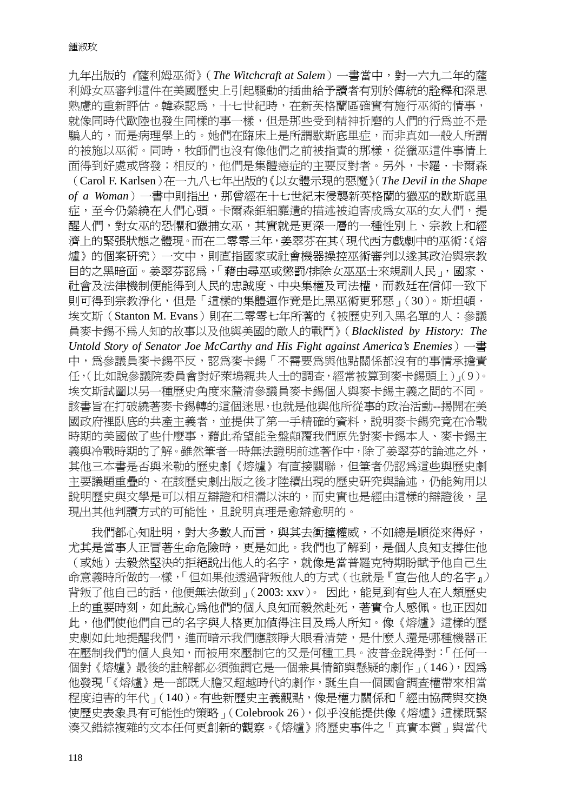九年出版的《薩利姆巫術》(*The Witchcraft at Salem*)一書當中,對一六九二年的薩 利姆女巫審判這件在美國歷史上引起騷動的插曲給予讀者有別於傳統的詮釋和深思 熟慮的重新評估。韓森認為,十七世紀時,在新英格蘭區確實有施行巫術的情事, 就像同時代歐陸也發生同樣的事一樣,但是那些受到精神折磨的人們的行為並不是 騙人的,而是病理學上的。她們在臨床上是所謂歇斯底里症,而非真如一般人所謂 的被施以巫術。同時,牧師們也沒有像他們之前被指責的那樣,從獵巫這件事情上 面得到好處或啓發;相反的,他們是集體癔症的主要反對者。另外,卡羅·卡爾森 (Carol F. Karlsen)在一九八七年出版的《以女體示現的惡魔》(*The Devil in the Shape*  of a Woman)一書中則指出,那曾經在十七世紀末侵襲新英格蘭的獵巫的歇斯底里 症,至今仍縈繞在人們心頭。卡爾森鉅細靡遺的描述被迫害成為女巫的女人們,提 醒人們,對女巫的恐懼和獵捕女巫,其實就是更深一層的一種性別上、宗教上和經 濟上的緊張狀態之體現。而在二零零三年,姜翠芬在其〈現代西方戲劇中的巫術:《熔 爐》的個案研究〉一文中,則直指國家或社會機器操控巫術審判以遂其政治與宗教 目的之黑暗面。姜翠芬認為,「藉由尋巫或懲罰/排除女巫巫士來規訓人民」,國家、 社會及法律機制便能得到人民的忠誠度、中央集權及司法權,而教廷在信仰一致下 則可得到宗教淨化,但是「這樣的集體運作竟是比黑巫術更邪惡」(30)。斯坦頓. 埃文斯(Stanton M. Evans)則在二零零七年所著的《被歷史列入黑名單的人:參議 員麥卡錫不為人知的故事以及他與美國的敵人的戰鬥》(*Blacklisted by History: The Untold Story of Senator Joe McCarthy and His Fight against America's Enemies*)一書 中,為參議員麥卡錫平反,認為麥卡錫「不需要為與他點關係都沒有的事情承擔責 任,(比如說參議院委員會對好萊塢親共人士的調查,經常被算到麥卡錫頭上)」(9)。 埃文斯試圖以另一種歷史角度來釐清參議員麥卡錫個人與麥卡錫主義之間的不同。 該書旨在打破繞著麥卡錫轉的這個迷思,也就是他與他所從事的政治活動--揭開在美 國政府裡臥底的共產主義者,並提供了第一手精確的資料,說明麥卡錫究竟在冷戰 時期的美國做了些什麼事,藉此希望能全盤顛覆我們原先對麥卡錫本人、麥卡錫主 義與冷戰時期的了解。雖然筆者一時無法證明前述著作中,除了姜翠芬的論述之外, 其他三本書是否與米勒的歷史劇《熔爐》有直接關聯,但筆者仍認為這些與歷史劇 主要議題重疊的、在該歷史劇出版之後才陸續出現的歷史研究與論述,仍能夠用以 說明歷史與文學是可以相互辯證和相濡以沫的,而史實也是經由這樣的辯證後,呈 現出其他判讀方式的可能性,且說明真理是愈辯愈明的。

我們都心知肚明,對大多數人而言,與其去衝撞權威,不如總是順從來得好, 尤其是當事人正冒著生命危險時,更是如此。我們也了解到,是個人良知支撐住他 (或她)去毅然堅決的拒絕說出他人的名字,就像是當普羅克特期盼賦予他自己生 命意義時所做的一樣,「但如果他透過背叛他人的方式(也就是『宣告他人的名字』) 背叛了他自己的話,他便無法做到」(2003: xxv)。 因此,能見到有些人在人類歷史 上的重要時刻,如此誠心為他們的個人良知而毅然赴死,著實令人感佩。也正因如 此,他們使他們自己的名字與人格更加值得注目及為人所知。像《熔爐》這樣的歷 **史劇如此地提醒我們,進而暗示我們應該睜大眼看清楚,是什麼人還是哪種機器正** 在壓制我們的個人良知,而被用來壓制它的又是何種工具。波普金說得對:「任何一 個對《熔爐》最後的註解都必須強調它是一個兼具情節與懸疑的劇作」(146),因為 他發現「《熔爐》是一部既大膽又超越時代的劇作,誕生自一個國會調查權帶來相當 程度迫害的年代」(140)。有些新歷史主義觀點,像是權力關係和「經由協商與交換 使歷史表象具有可能性的策略」(Colebrook 26),似乎沒能提供像《熔爐》這樣既緊 湊又錯綜複雜的文本任何更創新的觀察。《熔爐》將歷史事件之「真實本質」與當代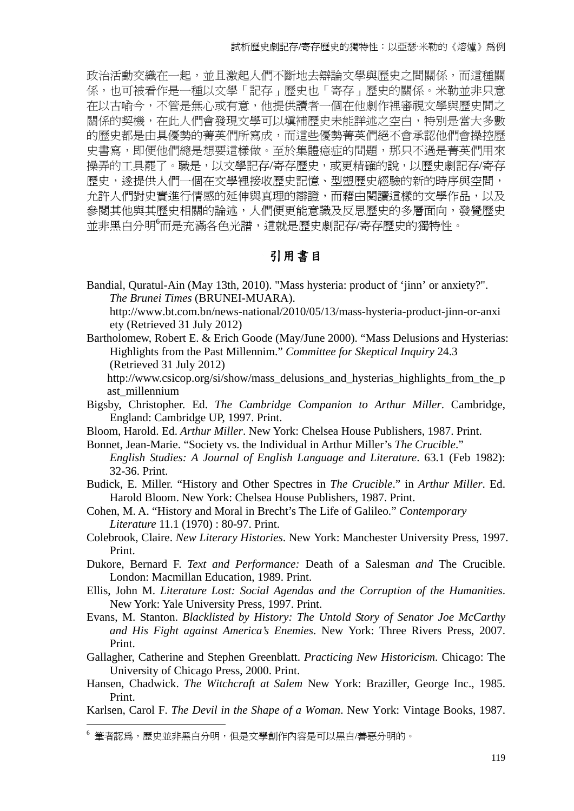政治活動交織在一起,並且激起人們不斷地去辯論文學與歷史之間關係,而這種關 係,也可被看作是一種以文學「記存」歷史也「寄存」歷史的關係。米勒並非只意 在以古喻今,不管是無心或有意,他提供讀者一個在他劇作裡審視文學與歷史間之 關係的契機,在此人們會發現文學可以填補歷史未能詳述之空白,特別是當大多數 的歷史都是由具優勢的菁英們所寫成,而這些優勢菁英們絕不會承認他們會操控歷 史書寫,即便他們總是想要這樣做。至於集體癔症的問題,那只不過是菁英們用來 操弄的工具罷了。職是,以文學記存/寄存歷史,或更精確的說,以歷史劇記存/寄存 歷史,遂提供人們一個在文學裡接收歷史記憶、型塑歷史經驗的新的時序與空間, 允許人們對史實進行情感的延伸與真理的辯證,而藉由閱讀這樣的文學作品,以及 參閱其他與其歷史相關的論述,人們便更能意識及反思歷史的多層面向,發覺歷史 並非黑白分明『而是充滿各色光譜,這就是歷史劇記存/寄存歷史的獨特性。

### 引用書目

Bandial, Quratul-Ain (May 13th, 2010). "Mass hysteria: product of 'jinn' or anxiety?". *The Brunei Times* (BRUNEI-MUARA).

http://www.bt.com.bn/news-national/2010/05/13/mass-hysteria-product-jinn-or-anxi ety (Retrieved 31 July 2012)

Bartholomew, Robert E. & Erich Goode (May/June 2000). "Mass Delusions and Hysterias: Highlights from the Past Millennim." *Committee for Skeptical Inquiry* 24.3 (Retrieved 31 July 2012)

http://www.csicop.org/si/show/mass\_delusions\_and\_hysterias\_highlights\_from\_the\_p ast\_millennium

- Bigsby, Christopher. Ed. *The Cambridge Companion to Arthur Miller*. Cambridge, England: Cambridge UP, 1997. Print.
- Bloom, Harold. Ed. *Arthur Miller*. New York: Chelsea House Publishers, 1987. Print.
- Bonnet, Jean-Marie. "Society vs. the Individual in Arthur Miller's *The Crucible*." *English Studies: A Journal of English Language and Literature*. 63.1 (Feb 1982): 32-36. Print.
- Budick, E. Miller. "History and Other Spectres in *The Crucible*." in *Arthur Miller*. Ed. Harold Bloom. New York: Chelsea House Publishers, 1987. Print.
- Cohen, M. A. "History and Moral in Brecht's The Life of Galileo." *Contemporary Literature* 11.1 (1970) : 80-97. Print.
- Colebrook, Claire. *New Literary Histories*. New York: Manchester University Press, 1997. Print.
- Dukore, Bernard F. *Text and Performance:* Death of a Salesman *and* The Crucible. London: Macmillan Education, 1989. Print.
- Ellis, John M. *Literature Lost: Social Agendas and the Corruption of the Humanities*. New York: Yale University Press, 1997. Print.
- Evans, M. Stanton. *Blacklisted by History: The Untold Story of Senator Joe McCarthy and His Fight against America's Enemies*. New York: Three Rivers Press, 2007. Print.
- Gallagher, Catherine and Stephen Greenblatt. *Practicing New Historicism*. Chicago: The University of Chicago Press, 2000. Print.
- Hansen, Chadwick. *The Witchcraft at Salem* New York: Braziller, George Inc., 1985. Print.
- Karlsen, Carol F. *The Devil in the Shape of a Woman*. New York: Vintage Books, 1987.

<sup>6</sup> 筆者認為,歷史並非黑白分明,但是文學創作內容是可以黑白/善惡分明的。